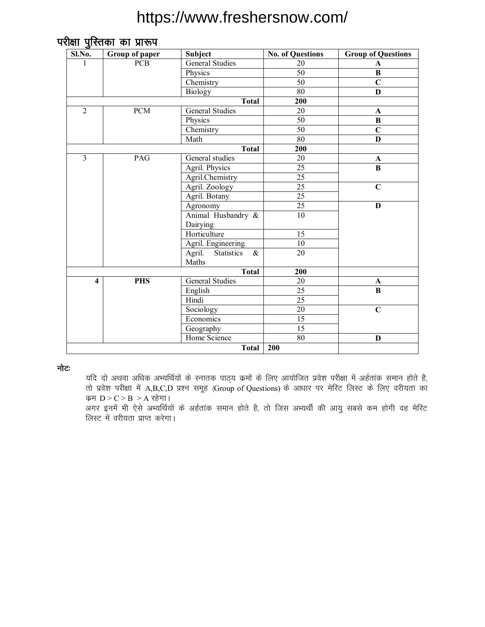| Sl.No.                  | Group of paper | <b>Subject</b>                      | <b>No. of Questions</b> | <b>Group of Questions</b> |  |  |
|-------------------------|----------------|-------------------------------------|-------------------------|---------------------------|--|--|
| 1                       | <b>PCB</b>     | <b>General Studies</b>              | 20                      | A                         |  |  |
|                         |                | Physics                             | 50                      | B                         |  |  |
|                         |                | Chemistry                           | 50                      | $\overline{C}$            |  |  |
|                         |                | <b>Biology</b>                      | $\overline{80}$         | $\mathbf{D}$              |  |  |
|                         |                | <b>Total</b>                        | 200                     |                           |  |  |
| $\overline{2}$          | <b>PCM</b>     | <b>General Studies</b>              | 20                      | A                         |  |  |
|                         |                | Physics                             | 50                      | $\bf{B}$                  |  |  |
|                         |                | Chemistry                           | 50                      | $\overline{C}$            |  |  |
|                         |                | Math                                | 80                      | D                         |  |  |
|                         |                | <b>Total</b>                        | 200                     |                           |  |  |
| $\overline{\mathbf{3}}$ | PAG            | General studies                     | 20                      | $\mathbf A$               |  |  |
|                         |                | Agril. Physics                      | 25                      | B                         |  |  |
|                         |                | Agril.Chemistry                     | 25                      |                           |  |  |
|                         |                | Agril. Zoology                      | $\overline{25}$         | $\mathbf C$               |  |  |
|                         |                | Agril. Botany                       | $\overline{25}$         |                           |  |  |
|                         |                | Agronomy                            | 25                      | D                         |  |  |
|                         |                | Animal Husbandry &                  | $\overline{10}$         |                           |  |  |
|                         |                | Dairying                            |                         |                           |  |  |
|                         |                | Horticulture                        | 15                      |                           |  |  |
|                         |                | Agril. Engineering                  | $10\,$                  |                           |  |  |
|                         |                | Agril.<br><b>Statistics</b><br>$\&$ | 20                      |                           |  |  |
|                         |                | Maths                               |                         |                           |  |  |
|                         |                | <b>Total</b>                        | 200                     |                           |  |  |
| $\overline{\mathbf{4}}$ | <b>PHS</b>     | <b>General Studies</b>              | 20                      | A                         |  |  |
|                         |                | English                             | 25                      | $\overline{B}$            |  |  |
|                         |                | Hindi                               | $\overline{25}$         |                           |  |  |
|                         |                | Sociology                           | 20                      | $\overline{C}$            |  |  |
|                         |                | Economics                           | 15                      |                           |  |  |
|                         |                | Geography                           | $\overline{15}$         |                           |  |  |
|                         |                | Home Science                        | $\overline{80}$         | D                         |  |  |
|                         |                | <b>Total</b>                        | 200                     |                           |  |  |

नोटः

यदि दो अथवा अधिक अभ्यर्थियों के स्नातक पाठ्य क्रमों के लिए आयोजित प्रवेश परीक्षा में अर्हतांक समान होते है, तो प्रवेश परीक्षा में A,B,C,D प्रश्न समूह (Group of Questions) के आधार पर मेरिट लिस्ट के लिए वरीयता का कम  $D > C > B > A$  रहेगा।

.<br>अगर इनमें भी ऐसे अभ्यर्थियों के अर्हतांक समान होते है, तो जिस अभ्यर्थी की आयु सबसे कम होगी वह मेरिट लिस्ट में वरीयता प्राप्त करेगा।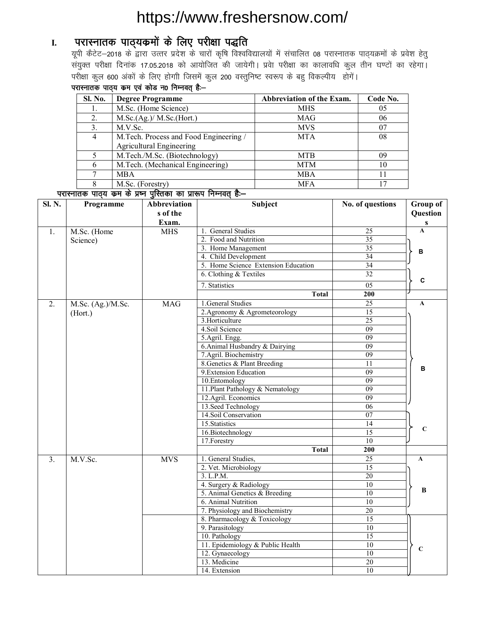### I. परास्नातक पाठ्**यक्रमों के लिए परीक्षा पद्धति**

; with discrept matched in the state of the controller in the controller in the personal in the personal in th<br>and the parameter of the product in the state of the state data is given by an application of the stage during संयुक्त परीक्षा दिनांक 17.05.2018 को आयोजित की जायेगी। प्रवेा परीक्षा का कालावधि कुल तीन घण्टों का रहेगा। परीक्षा कुल 600 अंकों के लिए होगाी जिसमें कुल 200 वस्तुनिष्ट स्वरूप के बहु विकल्पीय होगें।

#### परास्नातक पाठ्य कम एवं कोड न0 निम्नवत् है:-

| <b>Sl. No.</b> | <b>Degree Programme</b>                | Abbreviation of the Exam. | Code No. |
|----------------|----------------------------------------|---------------------------|----------|
|                | M.Sc. (Home Science)                   | MHS                       | 05       |
| 2.             | M.Sc.(Ag.)/ M.Sc.(Hort.)               | <b>MAG</b>                | 06       |
|                | M.V.Sc.                                | <b>MVS</b>                | 07       |
| $\overline{4}$ | M.Tech. Process and Food Engineering / | <b>MTA</b>                | 08       |
|                | <b>Agricultural Engineering</b>        |                           |          |
|                | M.Tech./M.Sc. (Biotechnology)          | <b>MTB</b>                | 09       |
|                | M.Tech. (Mechanical Engineering)       | <b>MTM</b>                | 10       |
|                | <b>MBA</b>                             | <b>MBA</b>                |          |
|                | M.Sc. (Forestry)                       | <b>MFA</b>                |          |

#### <u>inkelidae victor die die victoriale on die derived description of the dist</u>

| <b>Sl. N.</b> | Programme         | Abbreviation | Subject                             | No. of questions | Group of        |
|---------------|-------------------|--------------|-------------------------------------|------------------|-----------------|
|               |                   | s of the     |                                     |                  | <b>Question</b> |
|               |                   | Exam.        |                                     |                  | ${\bf S}$       |
| 1.            | M.Sc. (Home       | <b>MHS</b>   | 1. General Studies                  | 25               | $\mathbf{A}$    |
|               | Science)          |              | 2. Food and Nutrition               | $\overline{35}$  |                 |
|               |                   |              | 3. Home Management                  | 35               | в               |
|               |                   |              | 4. Child Development                | 34               |                 |
|               |                   |              | 5. Home Science Extension Education | $\overline{34}$  |                 |
|               |                   |              | 6. Clothing & Textiles              | 32               |                 |
|               |                   |              | 7. Statistics                       | 05               | C               |
|               |                   |              | <b>Total</b>                        | 200              |                 |
| 2.            | M.Sc. (Ag.)/M.Sc. | <b>MAG</b>   | 1. General Studies                  | 25               | $\mathbf{A}$    |
|               | (Hort.)           |              | 2. Agronomy & Agrometeorology       | 15               |                 |
|               |                   |              | 3. Horticulture                     | 25               |                 |
|               |                   |              | 4.Soil Science                      | 09               |                 |
|               |                   |              | 5.Agril. Engg.                      | 09               |                 |
|               |                   |              | 6. Animal Husbandry & Dairying      | 09               |                 |
|               |                   |              | 7.Agril. Biochemistry               | 09               |                 |
|               |                   |              | 8. Genetics & Plant Breeding        | 11               |                 |
|               |                   |              | 9. Extension Education              | $\overline{09}$  | в               |
|               |                   |              | 10.Entomology                       | 09               |                 |
|               |                   |              | 11. Plant Pathology & Nematology    | $\overline{09}$  |                 |
|               |                   |              | 12.Agril. Economics                 | 09               |                 |
|               |                   |              | 13. Seed Technology                 | $\overline{06}$  |                 |
|               |                   |              | 14.Soil Conservation                | 07               |                 |
|               |                   |              | 15. Statistics                      | $\overline{14}$  |                 |
|               |                   |              | 16.Biotechnology                    | $\overline{15}$  | $\mathbf C$     |
|               |                   |              | 17. Forestry                        | 10               |                 |
|               |                   |              | <b>Total</b>                        | $\overline{200}$ |                 |
| 3.            | M.V.Sc.           | <b>MVS</b>   | 1. General Studies,                 | $\overline{25}$  | $\mathbf{A}$    |
|               |                   |              | 2. Vet. Microbiology                | 15               |                 |
|               |                   |              | 3. L.P.M.                           | $\overline{20}$  |                 |
|               |                   |              | 4. Surgery & Radiology              | 10               |                 |
|               |                   |              | 5. Animal Genetics & Breeding       | 10               | B               |
|               |                   |              | 6. Animal Nutrition                 | $\overline{10}$  |                 |
|               |                   |              | 7. Physiology and Biochemistry      | $\overline{20}$  |                 |
|               |                   |              | 8. Pharmacology & Toxicology        | 15               |                 |
|               |                   |              | 9. Parasitology                     | 10               |                 |
|               |                   |              | 10. Pathology                       | 15               |                 |
|               |                   |              | 11. Epidemiology & Public Health    | 10               | $\mathbf C$     |
|               |                   |              | 12. Gynaecology                     | 10               |                 |
|               |                   |              | 13. Medicine                        | 20               |                 |
|               |                   |              | 14. Extension                       | 10               |                 |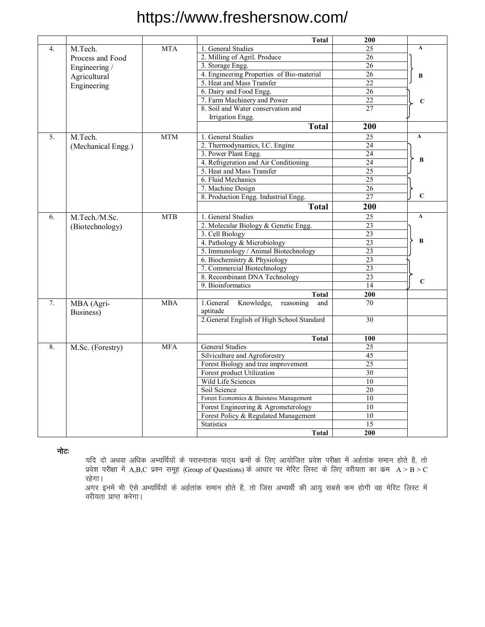|                             |                    |            | <b>Total</b>                                | 200             |              |
|-----------------------------|--------------------|------------|---------------------------------------------|-----------------|--------------|
| M.Tech.<br><b>MTA</b><br>4. |                    |            | 1. General Studies                          | $\overline{25}$ | $\mathbf{A}$ |
|                             | Process and Food   |            | 2. Milling of Agril. Produce                | 26              |              |
|                             | Engineering /      |            | 3. Storage Engg.                            | 26              |              |
|                             | Agricultural       |            | 4. Engineering Properties of Bio-material   | 26              | B            |
|                             | Engineering        |            | 5. Heat and Mass Transfer                   | 22              |              |
|                             |                    |            | 6. Dairy and Food Engg.                     | 26              |              |
|                             |                    |            | 7. Farm Machinery and Power                 | 22              | $\mathbf C$  |
|                             |                    |            | 8. Soil and Water conservation and          | 27              |              |
|                             |                    |            | Irrigation Engg.                            |                 |              |
|                             |                    |            | <b>Total</b>                                | 200             |              |
| 5.                          | M.Tech.            | <b>MTM</b> | 1. General Studies                          | $\overline{25}$ | $\mathbf{A}$ |
|                             | (Mechanical Engg.) |            | 2. Thermodynamics, I.C. Engine              | 24              |              |
|                             |                    |            | 3. Power Plant Engg.                        | 24              |              |
|                             |                    |            | 4. Refrigeration and Air Conditioning       | 24              | $\bf{B}$     |
|                             |                    |            | 5. Heat and Mass Transfer                   | 25              |              |
|                             |                    |            | 6. Fluid Mechanics                          | $\overline{25}$ |              |
|                             |                    |            | 7. Machine Design                           | 26              |              |
|                             |                    |            | 8. Production Engg. Industrial Engg.        | $\overline{27}$ | $\mathbf C$  |
|                             |                    |            | <b>Total</b>                                | 200             |              |
| 6.                          | M.Tech./M.Sc.      | <b>MTB</b> | 1. General Studies                          | 25              | $\mathbf{A}$ |
|                             | (Biotechnology)    |            | 2. Molecular Biology & Genetic Engg.        | $\overline{23}$ |              |
|                             |                    |            | 3. Cell Biology                             | $\overline{23}$ |              |
|                             |                    |            | 4. Pathology & Microbiology                 | 23              | B            |
|                             |                    |            | 5. Immunology / Animal Biotechnology        | $\overline{23}$ |              |
|                             |                    |            | 6. Biochemistry & Physiology                | 23              |              |
|                             |                    |            | 7. Commercial Biotechnology                 | 23              |              |
|                             |                    |            | 8. Recombinant DNA Technology               | 23              |              |
|                             |                    |            | 9. Bioinformatics                           | 14              | $\mathbf C$  |
|                             |                    |            | <b>Total</b>                                | 200             |              |
| 7.                          | MBA (Agri-         | <b>MBA</b> | 1.General<br>Knowledge,<br>reasoning<br>and | 70              |              |
|                             | Business)          |            | aptitude                                    |                 |              |
|                             |                    |            | 2. General English of High School Standard  | 30              |              |
|                             |                    |            |                                             | 100             |              |
| 8.                          | M.Sc. (Forestry)   | <b>MFA</b> | <b>Total</b><br><b>General Studies</b>      | 25              |              |
|                             |                    |            | Silviculture and Agroforestry               | 45              |              |
|                             |                    |            | Forest Biology and tree improvement         | 25              |              |
|                             |                    |            | Forest product Utilization                  | $\overline{30}$ |              |
|                             |                    |            | Wild Life Sciences                          | 10              |              |
|                             |                    |            | Soil Science                                | 20              |              |
|                             |                    |            | Forest Economics & Buisness Management      | 10              |              |
|                             |                    |            | Forest Engineering & Agrometerology         | 10              |              |
|                             |                    |            | Forest Policy & Regulated Management        | 10              |              |
|                             |                    |            | <b>Statistics</b>                           | $\overline{15}$ |              |
|                             |                    |            | <b>Total</b>                                | 200             |              |

नोटः

यदि दो अथवा अधिक अभ्यर्थियों के परास्नातक पाठ्य कमों के लिए आयोजित प्रवेश परीक्षा में अर्हतांक समान होते है, तो प्रवेश परीक्षा में A,B,C प्रश्न समूह (Group of Questions) के आधार पर मेरिट लिस्ट के लिए वरीयता का कम A > B > C रहेगा।

अगर इनमें भी ऐसे अभ्यर्थियों के अर्हतांक समान होते है, तो जिस अभ्यर्थी की आयु सबसे कम होगी वह मेरिट लिस्ट में वरीयता प्राप्त करेगा।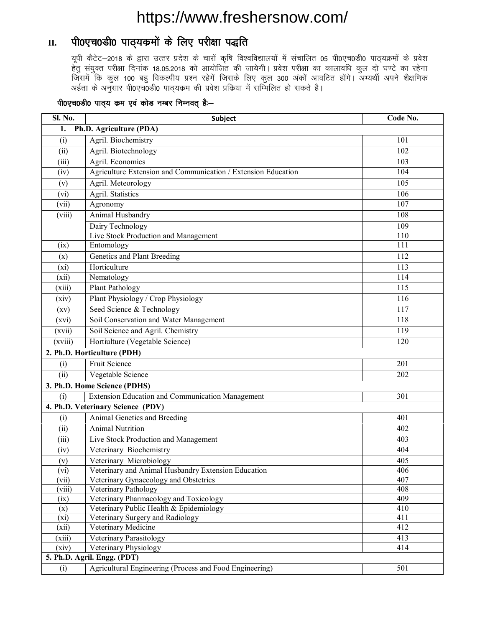### II. पी0एच0डी0 पाठ्यकमों के लिए परीक्षा पद्धति

यूपी कैटेट-2018 के द्वारा उत्तर प्रदेश के चारों कृषि विश्वविद्यालयों में संचालित 05 पी0एच0डी0 पाठ्यक्रमों के प्रवेश हेतु संयुक्त परीक्षा दिनांक 18.05.2018 को आयोजित की जायेगी। प्रवेश परीक्षा का कालावधि कुल दो घण्टे का रहेगा जिसमें कि कुल 100 बहु विकल्पीय प्रश्न रहेगें जिसके लिए कुल 300 अंकों आवटित होंगे। अभ्यर्थी अपने शैक्षणिक अर्हता के अनुसार पी0एच0डी0 पाठ्यकम की प्रवेश प्रकिया में सम्मिलित हो सकते है।

| Sl. No.                       | Subject                                                       | Code No.         |  |  |  |  |  |
|-------------------------------|---------------------------------------------------------------|------------------|--|--|--|--|--|
| 1.<br>Ph.D. Agriculture (PDA) |                                                               |                  |  |  |  |  |  |
| (i)                           | Agril. Biochemistry                                           | 101              |  |  |  |  |  |
| (ii)                          | Agril. Biotechnology                                          | 102              |  |  |  |  |  |
| (iii)                         | Agril. Economics                                              | 103              |  |  |  |  |  |
| (iv)                          | Agriculture Extension and Communication / Extension Education | 104              |  |  |  |  |  |
| (v)                           | Agril. Meteorology                                            | 105              |  |  |  |  |  |
| (vi)                          | Agril. Statistics                                             | 106              |  |  |  |  |  |
| (vii)                         | Agronomy                                                      | 107              |  |  |  |  |  |
| (viii)                        | Animal Husbandry                                              | 108              |  |  |  |  |  |
|                               | Dairy Technology                                              | 109              |  |  |  |  |  |
|                               | Live Stock Production and Management                          | 110              |  |  |  |  |  |
| (ix)                          | Entomology                                                    | $\overline{111}$ |  |  |  |  |  |
| (x)                           | Genetics and Plant Breeding                                   | 112              |  |  |  |  |  |
| (xi)                          | Horticulture                                                  | $\overline{113}$ |  |  |  |  |  |
| (xii)                         | Nematology                                                    | 114              |  |  |  |  |  |
| (xiii)                        | Plant Pathology                                               | 115              |  |  |  |  |  |
| (xiv)                         | Plant Physiology / Crop Physiology                            | 116              |  |  |  |  |  |
| (xv)                          | Seed Science & Technology                                     | $\overline{117}$ |  |  |  |  |  |
| (xvi)                         | Soil Conservation and Water Management                        | 118              |  |  |  |  |  |
| (xvii)                        | Soil Science and Agril. Chemistry                             | 119              |  |  |  |  |  |
| (xviii)                       | Hortiulture (Vegetable Science)                               | 120              |  |  |  |  |  |
|                               | 2. Ph.D. Horticulture (PDH)                                   |                  |  |  |  |  |  |
| (i)                           | <b>Fruit Science</b>                                          | 201              |  |  |  |  |  |
| (ii)                          | Vegetable Science                                             | 202              |  |  |  |  |  |
|                               | 3. Ph.D. Home Science (PDHS)                                  |                  |  |  |  |  |  |
| (i)                           | <b>Extension Education and Communication Management</b>       | 301              |  |  |  |  |  |
|                               | 4. Ph.D. Veterinary Science (PDV)                             |                  |  |  |  |  |  |
| (i)                           | Animal Genetics and Breeding                                  | 401              |  |  |  |  |  |
| (ii)                          | <b>Animal Nutrition</b>                                       | 402              |  |  |  |  |  |
| (iii)                         | Live Stock Production and Management                          | 403              |  |  |  |  |  |
| (iv)                          | Veterinary Biochemistry                                       | 404              |  |  |  |  |  |
| (v)                           | Veterinary Microbiology                                       | 405              |  |  |  |  |  |
| (vi)                          | Veterinary and Animal Husbandry Extension Education           | 406              |  |  |  |  |  |
| (vii)                         | Veterinary Gynaecology and Obstetrics                         | 407              |  |  |  |  |  |
| (viii)                        | Veterinary Pathology                                          | 408              |  |  |  |  |  |
| (ix)                          | Veterinary Pharmacology and Toxicology                        | 409              |  |  |  |  |  |
| (x)                           | Veterinary Public Health & Epidemiology                       | 410              |  |  |  |  |  |
| (xi)                          | Veterinary Surgery and Radiology<br>Veterinary Medicine       | 411<br>412       |  |  |  |  |  |
| (xii)                         |                                                               | 413              |  |  |  |  |  |
| (xiii)<br>(xiv)               | Veterinary Parasitology<br>414<br>Veterinary Physiology       |                  |  |  |  |  |  |
|                               | 5. Ph.D. Agril. Engg. (PDT)                                   |                  |  |  |  |  |  |
| (i)                           | Agricultural Engineering (Process and Food Engineering)       | 501              |  |  |  |  |  |
|                               |                                                               |                  |  |  |  |  |  |

#### पी0एच0डी0 पाठ्य कम एवं कोड नम्बर निम्नवत् है:-